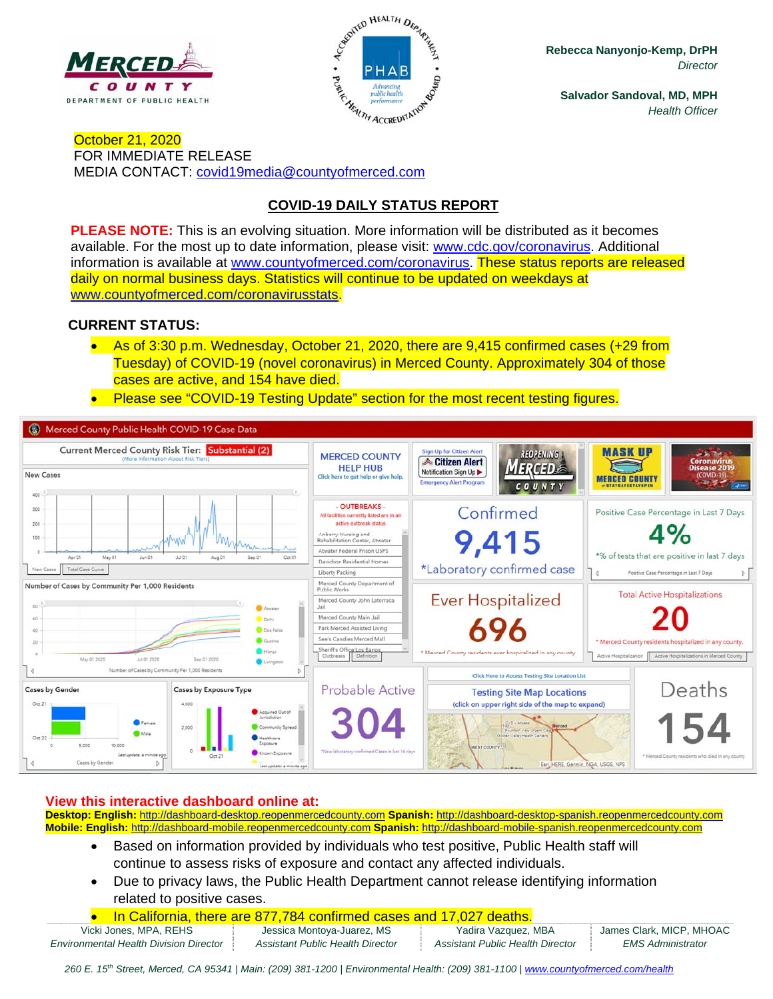



**Rebecca Nanyonjo-Kemp, DrPH**  *Director* 

**Salvador Sandoval, MD, MPH**  *Health Officer* 

October 21, 2020 FOR IMMEDIATE RELEASE MEDIA CONTACT: covid19media@countyofmerced.com

# **COVID-19 DAILY STATUS REPORT**

**PLEASE NOTE:** This is an evolving situation. More information will be distributed as it becomes available. For the most up to date information, please visit: www.cdc.gov/coronavirus. Additional information is available at www.countyofmerced.com/coronavirus. These status reports are released daily on normal business days. Statistics will continue to be updated on weekdays at www.countyofmerced.com/coronavirusstats.

### **CURRENT STATUS:**

- As of 3:30 p.m. Wednesday, October 21, 2020, there are 9,415 confirmed cases (+29 from Tuesday) of COVID-19 (novel coronavirus) in Merced County. Approximately 304 of those cases are active, and 154 have died.
- **Please see "COVID-19 Testing Update" section for the most recent testing figures.**



#### **View this interactive dashboard online at:**

**Desktop: English:** http://dashboard-desktop.reopenmercedcounty.com **Spanish:** http://dashboard-desktop-spanish.reopenmercedcounty.com **Mobile: English:** http://dashboard-mobile.reopenmercedcounty.com **Spanish:** http://dashboard-mobile-spanish.reopenmercedcounty.com

- Based on information provided by individuals who test positive, Public Health staff will continue to assess risks of exposure and contact any affected individuals.
- Due to privacy laws, the Public Health Department cannot release identifying information related to positive cases.
- In California, there are 877,784 confirmed cases and 17,027 deaths.

*Environmental Health Division Director Assistant Public Health Director Assistant Public Health Director EMS Administrator* 

Vicki Jones, MPA, REHS Jessica Montoya-Juarez, MS | Yadira Vazquez, MBA James Clark, MICP, MHOAC

260 E. 15<sup>th</sup> Street, Merced, CA 95341 | Main: (209) 381-1200 | Environmental Health: (209) 381-1100 | www.countyofmerced.com/health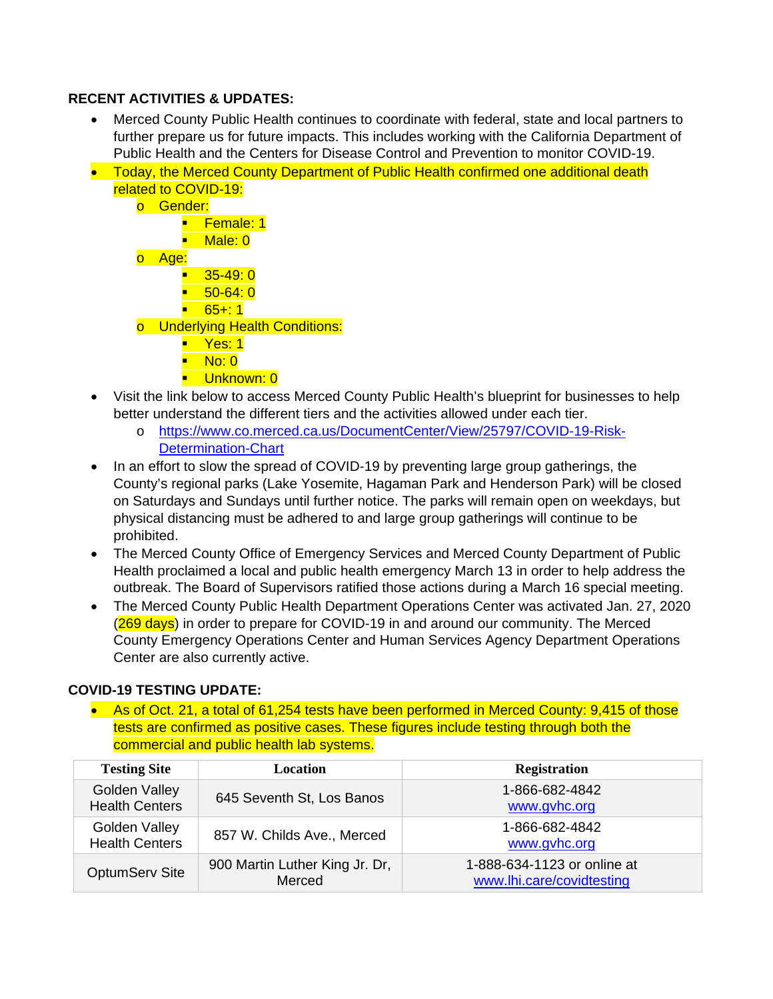### **RECENT ACTIVITIES & UPDATES:**

- Merced County Public Health continues to coordinate with federal, state and local partners to further prepare us for future impacts. This includes working with the California Department of Public Health and the Centers for Disease Control and Prevention to monitor COVID-19.
- Today, the Merced County Department of Public Health confirmed one additional death related to COVID-19:
	- o Gender: **Female: 1** ■ Male: 0 o Age:  $-35-49:0$  $-50-64:0$  $-65+1$ o Underlying Health Conditions:
		- Yes: 1
		- No: 0
		- **Unknown: 0**
- Visit the link below to access Merced County Public Health's blueprint for businesses to help better understand the different tiers and the activities allowed under each tier.
	- o https://www.co.merced.ca.us/DocumentCenter/View/25797/COVID-19-Risk-**Determination-Chart**
- In an effort to slow the spread of COVID-19 by preventing large group gatherings, the County's regional parks (Lake Yosemite, Hagaman Park and Henderson Park) will be closed on Saturdays and Sundays until further notice. The parks will remain open on weekdays, but physical distancing must be adhered to and large group gatherings will continue to be prohibited.
- The Merced County Office of Emergency Services and Merced County Department of Public Health proclaimed a local and public health emergency March 13 in order to help address the outbreak. The Board of Supervisors ratified those actions during a March 16 special meeting.
- The Merced County Public Health Department Operations Center was activated Jan. 27, 2020 (269 days) in order to prepare for COVID-19 in and around our community. The Merced County Emergency Operations Center and Human Services Agency Department Operations Center are also currently active.

#### **COVID-19 TESTING UPDATE:**

• As of Oct. 21, a total of 61,254 tests have been performed in Merced County: 9,415 of those tests are confirmed as positive cases. These figures include testing through both the commercial and public health lab systems.

| <b>Testing Site</b>                    | <b>Location</b>                          | <b>Registration</b>                                      |
|----------------------------------------|------------------------------------------|----------------------------------------------------------|
| Golden Valley<br><b>Health Centers</b> | 645 Seventh St, Los Banos                | 1-866-682-4842<br>www.gvhc.org                           |
| Golden Valley<br><b>Health Centers</b> | 857 W. Childs Ave., Merced               | 1-866-682-4842<br>www.gvhc.org                           |
| <b>OptumServ Site</b>                  | 900 Martin Luther King Jr. Dr,<br>Merced | 1-888-634-1123 or online at<br>www.lhi.care/covidtesting |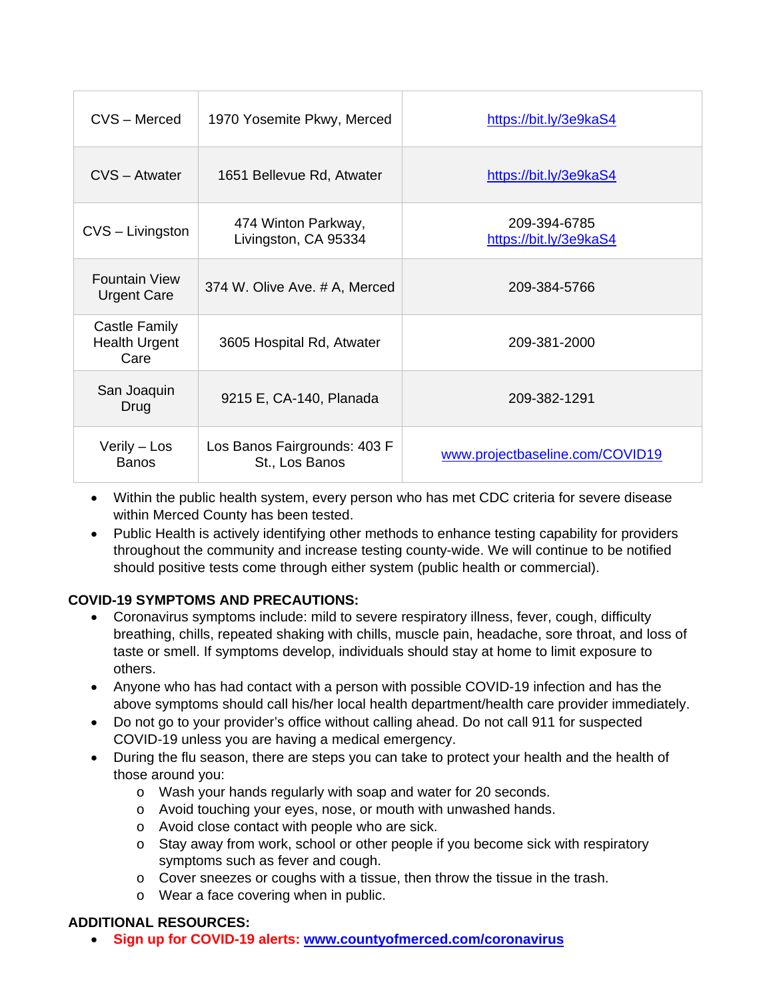| CVS - Merced                                  | 1970 Yosemite Pkwy, Merced                     | https://bit.ly/3e9kaS4                 |
|-----------------------------------------------|------------------------------------------------|----------------------------------------|
| CVS - Atwater                                 | 1651 Bellevue Rd, Atwater                      | https://bit.ly/3e9kaS4                 |
| CVS - Livingston                              | 474 Winton Parkway,<br>Livingston, CA 95334    | 209-394-6785<br>https://bit.ly/3e9kaS4 |
| <b>Fountain View</b><br><b>Urgent Care</b>    | 374 W. Olive Ave. # A, Merced                  | 209-384-5766                           |
| Castle Family<br><b>Health Urgent</b><br>Care | 3605 Hospital Rd, Atwater                      | 209-381-2000                           |
| San Joaquin<br>Drug                           | 9215 E, CA-140, Planada                        | 209-382-1291                           |
| Verily - Los<br><b>Banos</b>                  | Los Banos Fairgrounds: 403 F<br>St., Los Banos | www.projectbaseline.com/COVID19        |

- Within the public health system, every person who has met CDC criteria for severe disease within Merced County has been tested.
- Public Health is actively identifying other methods to enhance testing capability for providers throughout the community and increase testing county-wide. We will continue to be notified should positive tests come through either system (public health or commercial).

## **COVID-19 SYMPTOMS AND PRECAUTIONS:**

- Coronavirus symptoms include: mild to severe respiratory illness, fever, cough, difficulty breathing, chills, repeated shaking with chills, muscle pain, headache, sore throat, and loss of taste or smell. If symptoms develop, individuals should stay at home to limit exposure to others.
- Anyone who has had contact with a person with possible COVID-19 infection and has the above symptoms should call his/her local health department/health care provider immediately.
- Do not go to your provider's office without calling ahead. Do not call 911 for suspected COVID-19 unless you are having a medical emergency.
- During the flu season, there are steps you can take to protect your health and the health of those around you:
	- o Wash your hands regularly with soap and water for 20 seconds.
	- o Avoid touching your eyes, nose, or mouth with unwashed hands.
	- o Avoid close contact with people who are sick.
	- o Stay away from work, school or other people if you become sick with respiratory symptoms such as fever and cough.
	- $\circ$  Cover sneezes or coughs with a tissue, then throw the tissue in the trash.
	- o Wear a face covering when in public.

## **ADDITIONAL RESOURCES:**

**Sign up for COVID-19 alerts: www.countyofmerced.com/coronavirus**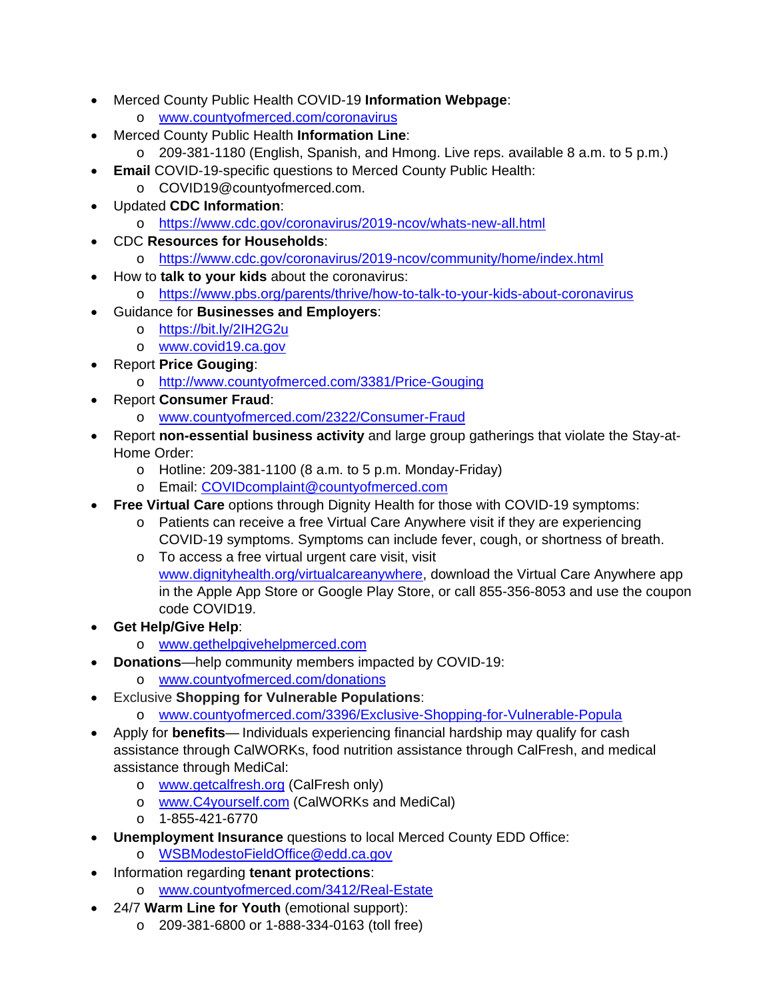- Merced County Public Health COVID-19 **Information Webpage**:
	- o www.countyofmerced.com/coronavirus
- Merced County Public Health **Information Line**:
	- o 209-381-1180 (English, Spanish, and Hmong. Live reps. available 8 a.m. to 5 p.m.)
- **Email** COVID-19-specific questions to Merced County Public Health:
	- o COVID19@countyofmerced.com.
- Updated **CDC Information**:
	- o https://www.cdc.gov/coronavirus/2019-ncov/whats-new-all.html
- CDC **Resources for Households**:
	- o https://www.cdc.gov/coronavirus/2019-ncov/community/home/index.html
- How to **talk to your kids** about the coronavirus:
	- o https://www.pbs.org/parents/thrive/how-to-talk-to-your-kids-about-coronavirus
- Guidance for **Businesses and Employers**:
	- o https://bit.ly/2IH2G2u
	- o www.covid19.ca.gov
	- Report **Price Gouging**:
		- o http://www.countyofmerced.com/3381/Price-Gouging
- Report **Consumer Fraud**:
	- o www.countyofmerced.com/2322/Consumer-Fraud
- Report **non-essential business activity** and large group gatherings that violate the Stay-at-Home Order:
	- o Hotline: 209-381-1100 (8 a.m. to 5 p.m. Monday-Friday)
	- o Email: COVIDcomplaint@countyofmerced.com
- **Free Virtual Care** options through Dignity Health for those with COVID-19 symptoms:
	- o Patients can receive a free Virtual Care Anywhere visit if they are experiencing
	- COVID-19 symptoms. Symptoms can include fever, cough, or shortness of breath. o To access a free virtual urgent care visit, visit
		- www.dignityhealth.org/virtualcareanywhere, download the Virtual Care Anywhere app in the Apple App Store or Google Play Store, or call 855-356-8053 and use the coupon code COVID19.
- **Get Help/Give Help**:
	- o www.gethelpgivehelpmerced.com
	- **Donations**—help community members impacted by COVID-19:
		- o www.countyofmerced.com/donations
- Exclusive **Shopping for Vulnerable Populations**:
	- o www.countyofmerced.com/3396/Exclusive-Shopping-for-Vulnerable-Popula
- Apply for **benefits** Individuals experiencing financial hardship may qualify for cash assistance through CalWORKs, food nutrition assistance through CalFresh, and medical assistance through MediCal:
	- o www.getcalfresh.org (CalFresh only)
	- o www.C4yourself.com (CalWORKs and MediCal)
	- o 1-855-421-6770
- **Unemployment Insurance** questions to local Merced County EDD Office:
	- o WSBModestoFieldOffice@edd.ca.gov
- Information regarding **tenant protections**:
	- o www.countyofmerced.com/3412/Real-Estate
- 24/7 **Warm Line for Youth** (emotional support):
	- o 209-381-6800 or 1-888-334-0163 (toll free)